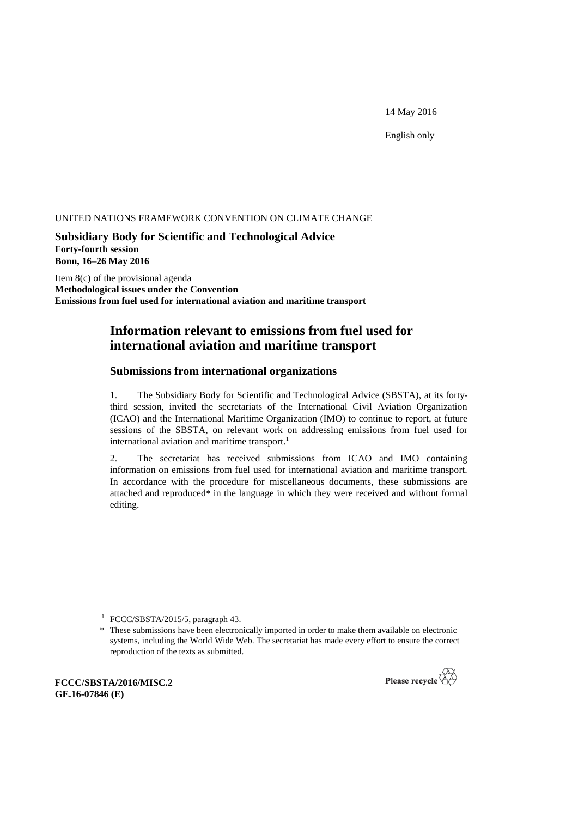14 May 2016

English only

#### UNITED NATIONS FRAMEWORK CONVENTION ON CLIMATE CHANGE

**Subsidiary Body for Scientific and Technological Advice Forty-fourth session Bonn, 16–26 May 2016**

Item 8(c) of the provisional agenda **Methodological issues under the Convention Emissions from fuel used for international aviation and maritime transport**

# **Information relevant to emissions from fuel used for international aviation and maritime transport**

# **Submissions from international organizations**

1. The Subsidiary Body for Scientific and Technological Advice (SBSTA), at its fortythird session, invited the secretariats of the International Civil Aviation Organization (ICAO) and the International Maritime Organization (IMO) to continue to report, at future sessions of the SBSTA, on relevant work on addressing emissions from fuel used for international aviation and maritime transport. 1

2. The secretariat has received submissions from ICAO and IMO containing information on emissions from fuel used for international aviation and maritime transport. In accordance with the procedure for miscellaneous documents, these submissions are attached and reproduced\* in the language in which they were received and without formal editing.

**FCCC/SBSTA/2016/MISC.2 GE.16-07846 (E)**

-



<sup>&</sup>lt;sup>1</sup> FCCC/SBSTA/2015/5, paragraph 43.

<sup>\*</sup> These submissions have been electronically imported in order to make them available on electronic systems, including the World Wide Web. The secretariat has made every effort to ensure the correct reproduction of the texts as submitted.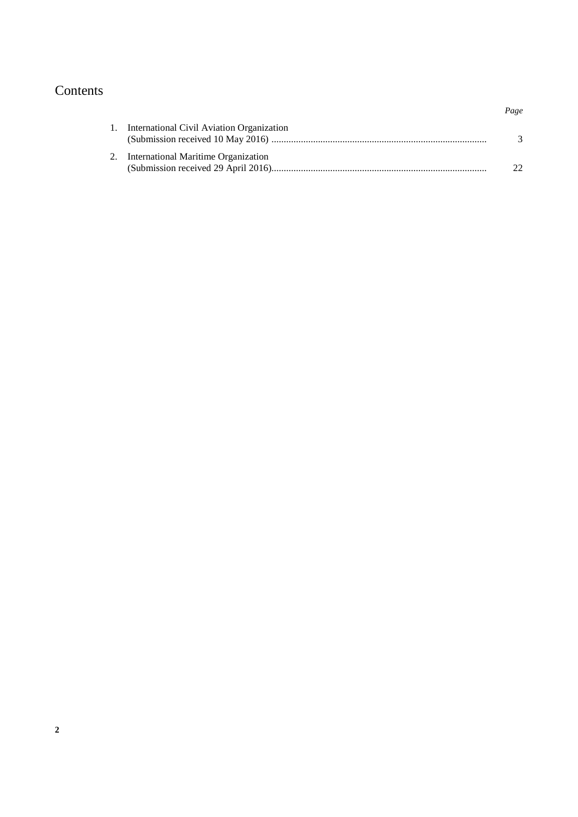# Contents

| 1. International Civil Aviation Organization |    |
|----------------------------------------------|----|
| 2. International Maritime Organization       | 22 |

*Page*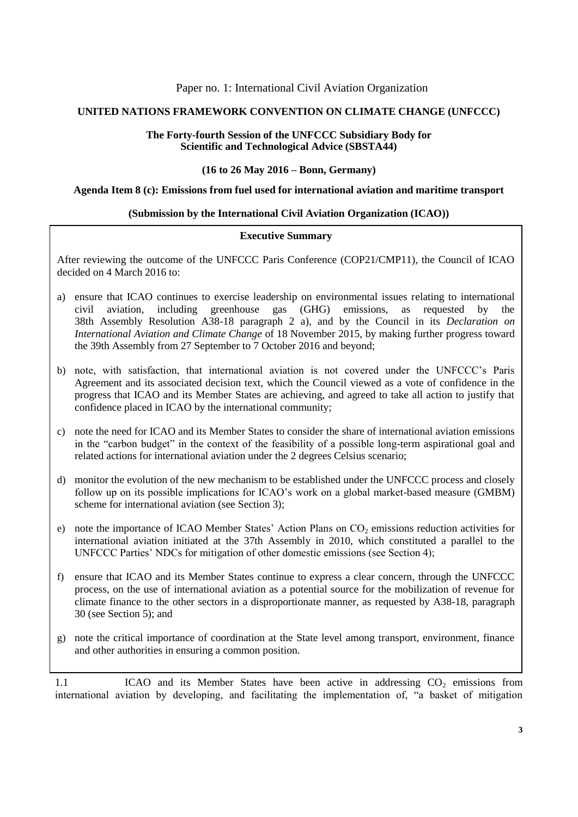# Paper no. 1: International Civil Aviation Organization

# **UNITED NATIONS FRAMEWORK CONVENTION ON CLIMATE CHANGE (UNFCCC)**

### **The Forty-fourth Session of the UNFCCC Subsidiary Body for Scientific and Technological Advice (SBSTA44)**

#### **(16 to 26 May 2016 – Bonn, Germany)**

#### **Agenda Item 8 (c): Emissions from fuel used for international aviation and maritime transport**

# **(Submission by the International Civil Aviation Organization (ICAO))**

#### **Executive Summary**

After reviewing the outcome of the UNFCCC Paris Conference (COP21/CMP11), the Council of ICAO decided on 4 March 2016 to:

- a) ensure that ICAO continues to exercise leadership on environmental issues relating to international civil aviation, including greenhouse gas (GHG) emissions, as requested by the 38th Assembly Resolution A38-18 paragraph 2 a), and by the Council in its *Declaration on International Aviation and Climate Change* of 18 November 2015, by making further progress toward the 39th Assembly from 27 September to 7 October 2016 and beyond;
- b) note, with satisfaction, that international aviation is not covered under the UNFCCC's Paris Agreement and its associated decision text, which the Council viewed as a vote of confidence in the progress that ICAO and its Member States are achieving, and agreed to take all action to justify that confidence placed in ICAO by the international community;
- c) note the need for ICAO and its Member States to consider the share of international aviation emissions in the "carbon budget" in the context of the feasibility of a possible long-term aspirational goal and related actions for international aviation under the 2 degrees Celsius scenario;
- d) monitor the evolution of the new mechanism to be established under the UNFCCC process and closely follow up on its possible implications for ICAO's work on a global market-based measure (GMBM) scheme for international aviation (see Section 3);
- e) note the importance of ICAO Member States' Action Plans on  $CO<sub>2</sub>$  emissions reduction activities for international aviation initiated at the 37th Assembly in 2010, which constituted a parallel to the UNFCCC Parties' NDCs for mitigation of other domestic emissions (see Section 4);
- f) ensure that ICAO and its Member States continue to express a clear concern, through the UNFCCC process, on the use of international aviation as a potential source for the mobilization of revenue for climate finance to the other sectors in a disproportionate manner, as requested by A38-18, paragraph 30 (see Section 5); and
- $\frac{1}{2}$ g) note the critical importance of coordination at the State level among transport, environment, finance and other authorities in ensuring a common position.

1.1 ICAO and its Member States have been active in addressing CO<sub>2</sub> emissions from international aviation by developing, and facilitating the implementation of, "a basket of mitigation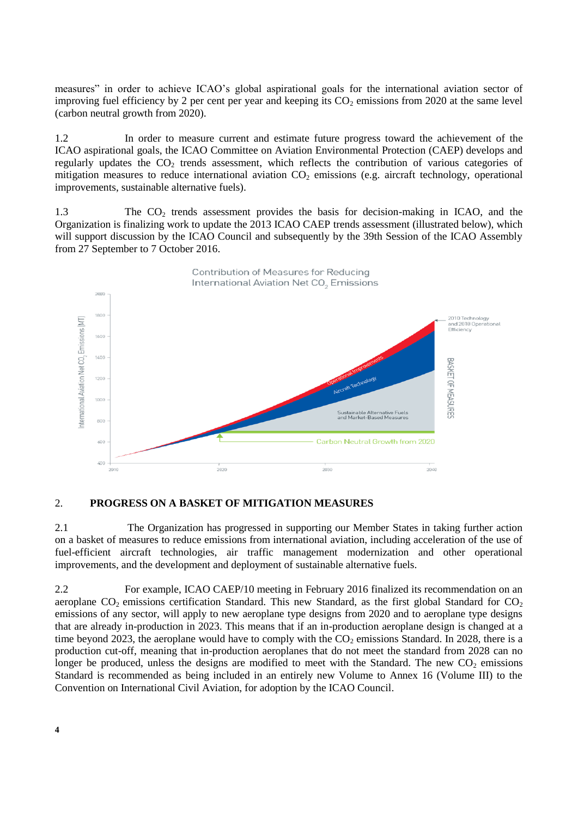measures" in order to achieve ICAO's global aspirational goals for the international aviation sector of improving fuel efficiency by 2 per cent per year and keeping its  $CO<sub>2</sub>$  emissions from 2020 at the same level (carbon neutral growth from 2020).

1.2 In order to measure current and estimate future progress toward the achievement of the ICAO aspirational goals, the ICAO Committee on Aviation Environmental Protection (CAEP) develops and regularly updates the CO<sub>2</sub> trends assessment, which reflects the contribution of various categories of mitigation measures to reduce international aviation  $CO<sub>2</sub>$  emissions (e.g. aircraft technology, operational improvements, sustainable alternative fuels).

1.3 The CO<sub>2</sub> trends assessment provides the basis for decision-making in ICAO, and the Organization is finalizing work to update the 2013 ICAO CAEP trends assessment (illustrated below), which will support discussion by the ICAO Council and subsequently by the 39th Session of the ICAO Assembly from 27 September to 7 October 2016.



# 2. **PROGRESS ON A BASKET OF MITIGATION MEASURES**

2.1 The Organization has progressed in supporting our Member States in taking further action on a basket of measures to reduce emissions from international aviation, including acceleration of the use of fuel-efficient aircraft technologies, air traffic management modernization and other operational improvements, and the development and deployment of sustainable alternative fuels.

2.2 For example, ICAO CAEP/10 meeting in February 2016 finalized its recommendation on an aeroplane  $CO<sub>2</sub>$  emissions certification Standard. This new Standard, as the first global Standard for  $CO<sub>2</sub>$ emissions of any sector, will apply to new aeroplane type designs from 2020 and to aeroplane type designs that are already in-production in 2023. This means that if an in-production aeroplane design is changed at a time beyond 2023, the aeroplane would have to comply with the  $CO<sub>2</sub>$  emissions Standard. In 2028, there is a production cut-off, meaning that in-production aeroplanes that do not meet the standard from 2028 can no longer be produced, unless the designs are modified to meet with the Standard. The new  $CO<sub>2</sub>$  emissions Standard is recommended as being included in an entirely new Volume to Annex 16 (Volume III) to the Convention on International Civil Aviation, for adoption by the ICAO Council.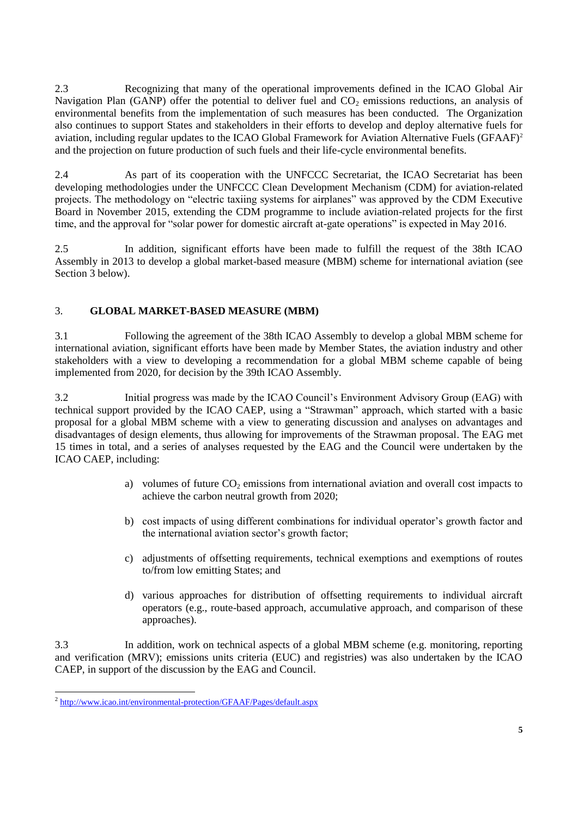2.3 Recognizing that many of the operational improvements defined in the ICAO Global Air Navigation Plan (GANP) offer the potential to deliver fuel and  $CO<sub>2</sub>$  emissions reductions, an analysis of environmental benefits from the implementation of such measures has been conducted. The Organization also continues to support States and stakeholders in their efforts to develop and deploy alternative fuels for aviation, including regular updates to the ICAO Global Framework for Aviation Alternative Fuels (GFAAF)<sup>2</sup> and the projection on future production of such fuels and their life-cycle environmental benefits.

2.4 As part of its cooperation with the UNFCCC Secretariat, the ICAO Secretariat has been developing methodologies under the UNFCCC Clean Development Mechanism (CDM) for aviation-related projects. The methodology on "electric taxiing systems for airplanes" was approved by the CDM Executive Board in November 2015, extending the CDM programme to include aviation-related projects for the first time, and the approval for "solar power for domestic aircraft at-gate operations" is expected in May 2016.

2.5 In addition, significant efforts have been made to fulfill the request of the 38th ICAO Assembly in 2013 to develop a global market-based measure (MBM) scheme for international aviation (see Section 3 below).

# 3. **GLOBAL MARKET-BASED MEASURE (MBM)**

3.1 Following the agreement of the 38th ICAO Assembly to develop a global MBM scheme for international aviation, significant efforts have been made by Member States, the aviation industry and other stakeholders with a view to developing a recommendation for a global MBM scheme capable of being implemented from 2020, for decision by the 39th ICAO Assembly.

3.2 Initial progress was made by the ICAO Council's Environment Advisory Group (EAG) with technical support provided by the ICAO CAEP, using a "Strawman" approach, which started with a basic proposal for a global MBM scheme with a view to generating discussion and analyses on advantages and disadvantages of design elements, thus allowing for improvements of the Strawman proposal. The EAG met 15 times in total, and a series of analyses requested by the EAG and the Council were undertaken by the ICAO CAEP, including:

- a) volumes of future  $CO<sub>2</sub>$  emissions from international aviation and overall cost impacts to achieve the carbon neutral growth from 2020;
- b) cost impacts of using different combinations for individual operator's growth factor and the international aviation sector's growth factor;
- c) adjustments of offsetting requirements, technical exemptions and exemptions of routes to/from low emitting States; and
- d) various approaches for distribution of offsetting requirements to individual aircraft operators (e.g., route-based approach, accumulative approach, and comparison of these approaches).

3.3 In addition, work on technical aspects of a global MBM scheme (e.g. monitoring, reporting and verification (MRV); emissions units criteria (EUC) and registries) was also undertaken by the ICAO CAEP, in support of the discussion by the EAG and Council.

 2 <http://www.icao.int/environmental-protection/GFAAF/Pages/default.aspx>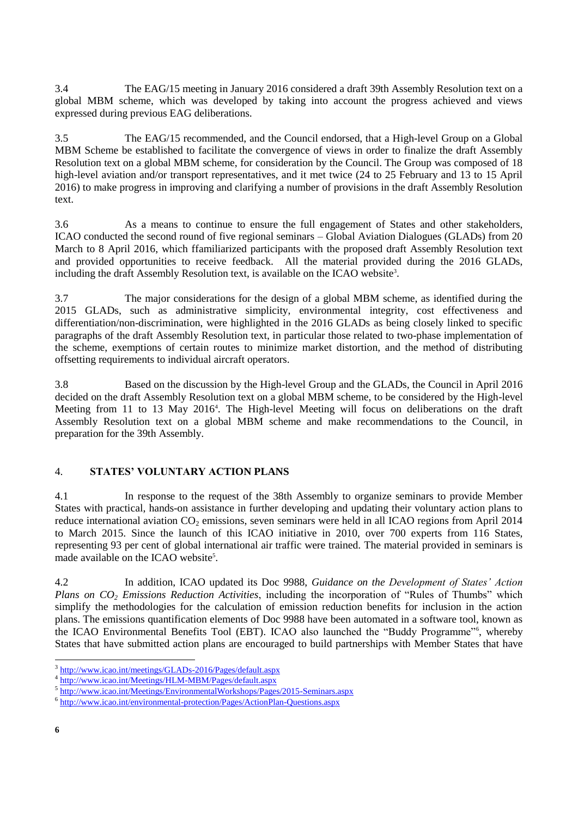3.4 The EAG/15 meeting in January 2016 considered a draft 39th Assembly Resolution text on a global MBM scheme, which was developed by taking into account the progress achieved and views expressed during previous EAG deliberations.

3.5 The EAG/15 recommended, and the Council endorsed, that a High-level Group on a Global MBM Scheme be established to facilitate the convergence of views in order to finalize the draft Assembly Resolution text on a global MBM scheme, for consideration by the Council. The Group was composed of 18 high-level aviation and/or transport representatives, and it met twice (24 to 25 February and 13 to 15 April 2016) to make progress in improving and clarifying a number of provisions in the draft Assembly Resolution text.

3.6 As a means to continue to ensure the full engagement of States and other stakeholders, ICAO conducted the second round of five regional seminars – Global Aviation Dialogues (GLADs) from 20 March to 8 April 2016, which ffamiliarized participants with the proposed draft Assembly Resolution text and provided opportunities to receive feedback. All the material provided during the 2016 GLADs, including the draft Assembly Resolution text, is available on the ICAO website<sup>3</sup>.

3.7 The major considerations for the design of a global MBM scheme, as identified during the 2015 GLADs, such as administrative simplicity, environmental integrity, cost effectiveness and differentiation/non-discrimination, were highlighted in the 2016 GLADs as being closely linked to specific paragraphs of the draft Assembly Resolution text, in particular those related to two-phase implementation of the scheme, exemptions of certain routes to minimize market distortion, and the method of distributing offsetting requirements to individual aircraft operators.

3.8 Based on the discussion by the High-level Group and the GLADs, the Council in April 2016 decided on the draft Assembly Resolution text on a global MBM scheme, to be considered by the High-level Meeting from 11 to 13 May 2016<sup>4</sup>. The High-level Meeting will focus on deliberations on the draft Assembly Resolution text on a global MBM scheme and make recommendations to the Council, in preparation for the 39th Assembly.

# 4. **STATES' VOLUNTARY ACTION PLANS**

4.1 In response to the request of the 38th Assembly to organize seminars to provide Member States with practical, hands-on assistance in further developing and updating their voluntary action plans to reduce international aviation  $CO_2$  emissions, seven seminars were held in all ICAO regions from April 2014 to March 2015. Since the launch of this ICAO initiative in 2010, over 700 experts from 116 States, representing 93 per cent of global international air traffic were trained. The material provided in seminars is made available on the ICAO website<sup>5</sup>.

4.2 In addition, ICAO updated its Doc 9988, *Guidance on the Development of States' Action Plans on CO<sup>2</sup> Emissions Reduction Activities*, including the incorporation of "Rules of Thumbs" which simplify the methodologies for the calculation of emission reduction benefits for inclusion in the action plans. The emissions quantification elements of Doc 9988 have been automated in a software tool, known as the ICAO Environmental Benefits Tool (EBT). ICAO also launched the "Buddy Programme"<sup>6</sup> , whereby States that have submitted action plans are encouraged to build partnerships with Member States that have

-

<sup>&</sup>lt;sup>3</sup> http://www.icao.int/meetings/GLADs-2016/Pages/default.aspx

<sup>4</sup> <http://www.icao.int/Meetings/HLM-MBM/Pages/default.aspx>

<sup>&</sup>lt;sup>5</sup> <http://www.icao.int/Meetings/EnvironmentalWorkshops/Pages/2015-Seminars.aspx>

<sup>&</sup>lt;sup>6</sup> <http://www.icao.int/environmental-protection/Pages/ActionPlan-Questions.aspx>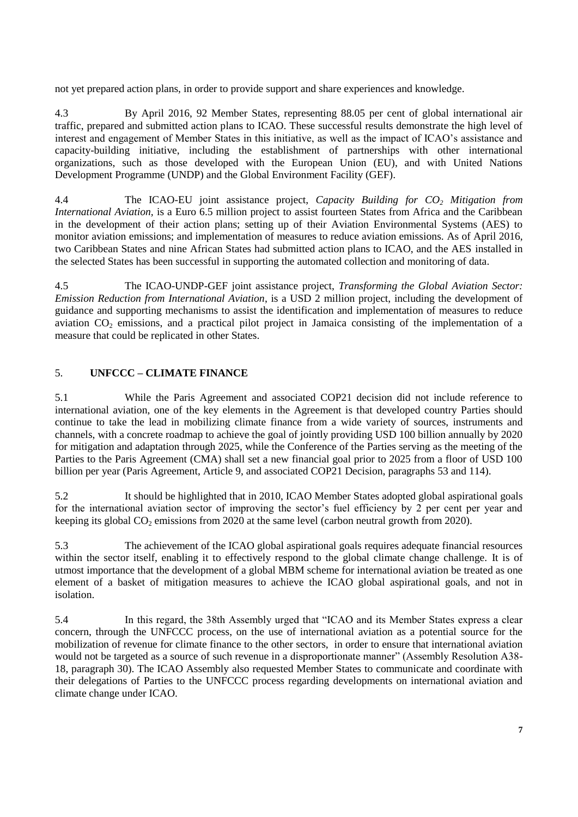not yet prepared action plans, in order to provide support and share experiences and knowledge.

4.3 By April 2016, 92 Member States, representing 88.05 per cent of global international air traffic, prepared and submitted action plans to ICAO. These successful results demonstrate the high level of interest and engagement of Member States in this initiative, as well as the impact of ICAO's assistance and capacity-building initiative, including the establishment of partnerships with other international organizations, such as those developed with the European Union (EU), and with United Nations Development Programme (UNDP) and the Global Environment Facility (GEF).

4.4 The ICAO-EU joint assistance project, *Capacity Building for CO<sup>2</sup> Mitigation from International Aviation,* is a Euro 6.5 million project to assist fourteen States from Africa and the Caribbean in the development of their action plans; setting up of their Aviation Environmental Systems (AES) to monitor aviation emissions; and implementation of measures to reduce aviation emissions. As of April 2016, two Caribbean States and nine African States had submitted action plans to ICAO, and the AES installed in the selected States has been successful in supporting the automated collection and monitoring of data.

4.5 The ICAO-UNDP-GEF joint assistance project, *Transforming the Global Aviation Sector: Emission Reduction from International Aviation*, is a USD 2 million project, including the development of guidance and supporting mechanisms to assist the identification and implementation of measures to reduce aviation  $CO_2$  emissions, and a practical pilot project in Jamaica consisting of the implementation of a measure that could be replicated in other States.

# 5. **UNFCCC – CLIMATE FINANCE**

5.1 While the Paris Agreement and associated COP21 decision did not include reference to international aviation, one of the key elements in the Agreement is that developed country Parties should continue to take the lead in mobilizing climate finance from a wide variety of sources, instruments and channels, with a concrete roadmap to achieve the goal of jointly providing USD 100 billion annually by 2020 for mitigation and adaptation through 2025, while the Conference of the Parties serving as the meeting of the Parties to the Paris Agreement (CMA) shall set a new financial goal prior to 2025 from a floor of USD 100 billion per year (Paris Agreement, Article 9, and associated COP21 Decision, paragraphs 53 and 114).

5.2 It should be highlighted that in 2010, ICAO Member States adopted global aspirational goals for the international aviation sector of improving the sector's fuel efficiency by 2 per cent per year and keeping its global CO<sub>2</sub> emissions from 2020 at the same level (carbon neutral growth from 2020).

5.3 The achievement of the ICAO global aspirational goals requires adequate financial resources within the sector itself, enabling it to effectively respond to the global climate change challenge. It is of utmost importance that the development of a global MBM scheme for international aviation be treated as one element of a basket of mitigation measures to achieve the ICAO global aspirational goals, and not in isolation.

5.4 In this regard, the 38th Assembly urged that "ICAO and its Member States express a clear concern, through the UNFCCC process, on the use of international aviation as a potential source for the mobilization of revenue for climate finance to the other sectors, in order to ensure that international aviation would not be targeted as a source of such revenue in a disproportionate manner" (Assembly Resolution A38- 18, paragraph 30). The ICAO Assembly also requested Member States to communicate and coordinate with their delegations of Parties to the UNFCCC process regarding developments on international aviation and climate change under ICAO.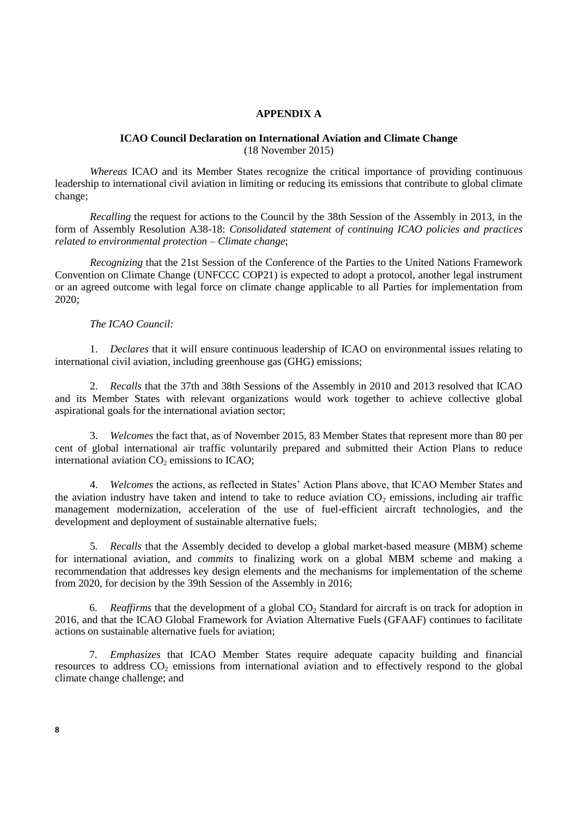### **APPENDIX A**

#### **ICAO Council Declaration on International Aviation and Climate Change** (18 November 2015)

*Whereas* ICAO and its Member States recognize the critical importance of providing continuous leadership to international civil aviation in limiting or reducing its emissions that contribute to global climate change;

*Recalling* the request for actions to the Council by the 38th Session of the Assembly in 2013, in the form of Assembly Resolution A38-18: *Consolidated statement of continuing ICAO policies and practices related to environmental protection – Climate change*;

*Recognizing* that the 21st Session of the Conference of the Parties to the United Nations Framework Convention on Climate Change (UNFCCC COP21) is expected to adopt a protocol, another legal instrument or an agreed outcome with legal force on climate change applicable to all Parties for implementation from 2020;

# *The ICAO Council:*

1. *Declares* that it will ensure continuous leadership of ICAO on environmental issues relating to international civil aviation, including greenhouse gas (GHG) emissions;

2. *Recalls* that the 37th and 38th Sessions of the Assembly in 2010 and 2013 resolved that ICAO and its Member States with relevant organizations would work together to achieve collective global aspirational goals for the international aviation sector;

3. *Welcomes* the fact that, as of November 2015, 83 Member States that represent more than 80 per cent of global international air traffic voluntarily prepared and submitted their Action Plans to reduce international aviation  $CO<sub>2</sub>$  emissions to ICAO;

4. *Welcomes* the actions, as reflected in States' Action Plans above, that ICAO Member States and the aviation industry have taken and intend to take to reduce aviation  $CO<sub>2</sub>$  emissions, including air traffic management modernization, acceleration of the use of fuel-efficient aircraft technologies, and the development and deployment of sustainable alternative fuels;

5*. Recalls* that the Assembly decided to develop a global market-based measure (MBM) scheme for international aviation, and *commits* to finalizing work on a global MBM scheme and making a recommendation that addresses key design elements and the mechanisms for implementation of the scheme from 2020, for decision by the 39th Session of the Assembly in 2016;

6. *Reaffirms* that the development of a global CO<sub>2</sub> Standard for aircraft is on track for adoption in 2016, and that the ICAO Global Framework for Aviation Alternative Fuels (GFAAF) continues to facilitate actions on sustainable alternative fuels for aviation;

7. *Emphasizes* that ICAO Member States require adequate capacity building and financial resources to address  $CO<sub>2</sub>$  emissions from international aviation and to effectively respond to the global climate change challenge; and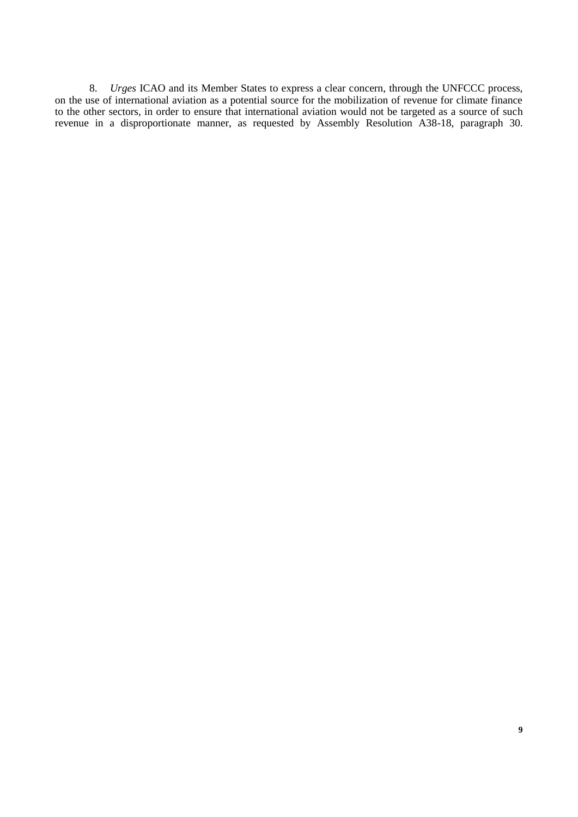8. *Urges* ICAO and its Member States to express a clear concern, through the UNFCCC process, on the use of international aviation as a potential source for the mobilization of revenue for climate finance to the other sectors, in order to ensure that international aviation would not be targeted as a source of such revenue in a disproportionate manner, as requested by Assembly Resolution A38-18, paragraph 30.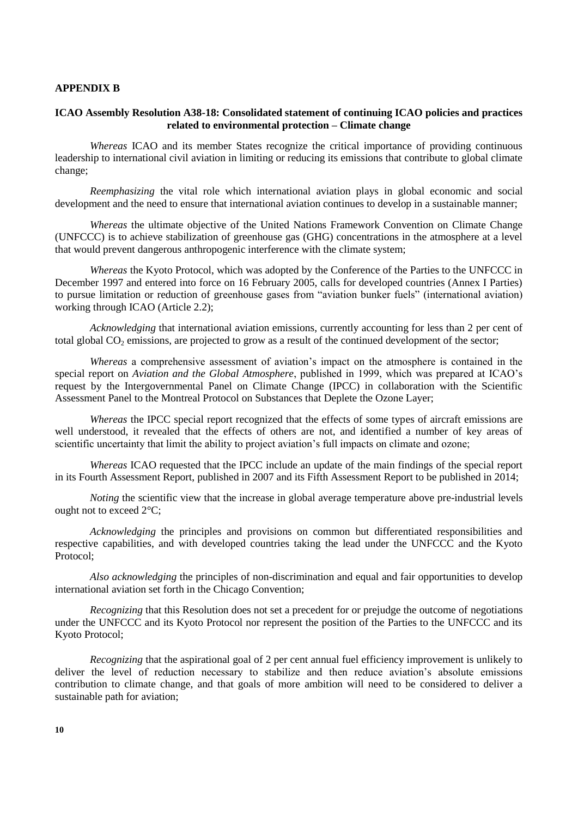#### **APPENDIX B**

# **ICAO Assembly Resolution A38-18: Consolidated statement of continuing ICAO policies and practices related to environmental protection – Climate change**

*Whereas* ICAO and its member States recognize the critical importance of providing continuous leadership to international civil aviation in limiting or reducing its emissions that contribute to global climate change;

*Reemphasizing* the vital role which international aviation plays in global economic and social development and the need to ensure that international aviation continues to develop in a sustainable manner;

*Whereas* the ultimate objective of the United Nations Framework Convention on Climate Change (UNFCCC) is to achieve stabilization of greenhouse gas (GHG) concentrations in the atmosphere at a level that would prevent dangerous anthropogenic interference with the climate system;

*Whereas* the Kyoto Protocol, which was adopted by the Conference of the Parties to the UNFCCC in December 1997 and entered into force on 16 February 2005, calls for developed countries (Annex I Parties) to pursue limitation or reduction of greenhouse gases from "aviation bunker fuels" (international aviation) working through ICAO (Article 2.2);

*Acknowledging* that international aviation emissions, currently accounting for less than 2 per cent of total global CO<sub>2</sub> emissions, are projected to grow as a result of the continued development of the sector;

*Whereas* a comprehensive assessment of aviation's impact on the atmosphere is contained in the special report on *Aviation and the Global Atmosphere*, published in 1999, which was prepared at ICAO's request by the Intergovernmental Panel on Climate Change (IPCC) in collaboration with the Scientific Assessment Panel to the Montreal Protocol on Substances that Deplete the Ozone Layer;

*Whereas* the IPCC special report recognized that the effects of some types of aircraft emissions are well understood, it revealed that the effects of others are not, and identified a number of key areas of scientific uncertainty that limit the ability to project aviation's full impacts on climate and ozone;

*Whereas* ICAO requested that the IPCC include an update of the main findings of the special report in its Fourth Assessment Report, published in 2007 and its Fifth Assessment Report to be published in 2014;

*Noting* the scientific view that the increase in global average temperature above pre-industrial levels ought not to exceed 2°C;

*Acknowledging* the principles and provisions on common but differentiated responsibilities and respective capabilities, and with developed countries taking the lead under the UNFCCC and the Kyoto Protocol;

*Also acknowledging* the principles of non-discrimination and equal and fair opportunities to develop international aviation set forth in the Chicago Convention;

*Recognizing* that this Resolution does not set a precedent for or prejudge the outcome of negotiations under the UNFCCC and its Kyoto Protocol nor represent the position of the Parties to the UNFCCC and its Kyoto Protocol;

*Recognizing* that the aspirational goal of 2 per cent annual fuel efficiency improvement is unlikely to deliver the level of reduction necessary to stabilize and then reduce aviation's absolute emissions contribution to climate change, and that goals of more ambition will need to be considered to deliver a sustainable path for aviation;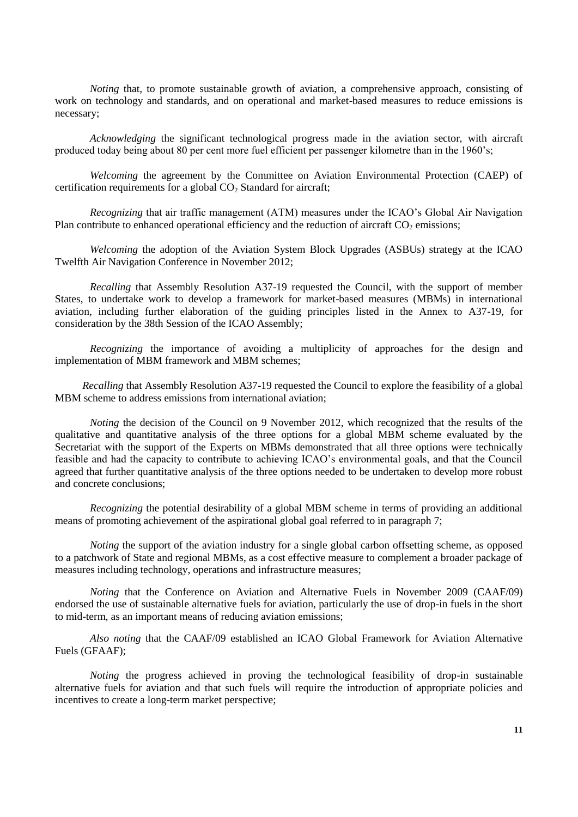*Noting* that, to promote sustainable growth of aviation, a comprehensive approach, consisting of work on technology and standards, and on operational and market-based measures to reduce emissions is necessary;

*Acknowledging* the significant technological progress made in the aviation sector, with aircraft produced today being about 80 per cent more fuel efficient per passenger kilometre than in the 1960's;

*Welcoming* the agreement by the Committee on Aviation Environmental Protection (CAEP) of certification requirements for a global  $CO<sub>2</sub>$  Standard for aircraft;

*Recognizing* that air traffic management (ATM) measures under the ICAO's Global Air Navigation Plan contribute to enhanced operational efficiency and the reduction of aircraft  $CO<sub>2</sub>$  emissions;

*Welcoming* the adoption of the Aviation System Block Upgrades (ASBUs) strategy at the ICAO Twelfth Air Navigation Conference in November 2012;

*Recalling* that Assembly Resolution A37-19 requested the Council, with the support of member States, to undertake work to develop a framework for market-based measures (MBMs) in international aviation, including further elaboration of the guiding principles listed in the Annex to A37-19, for consideration by the 38th Session of the ICAO Assembly;

*Recognizing* the importance of avoiding a multiplicity of approaches for the design and implementation of MBM framework and MBM schemes;

*Recalling* that Assembly Resolution A37-19 requested the Council to explore the feasibility of a global MBM scheme to address emissions from international aviation;

*Noting* the decision of the Council on 9 November 2012, which recognized that the results of the qualitative and quantitative analysis of the three options for a global MBM scheme evaluated by the Secretariat with the support of the Experts on MBMs demonstrated that all three options were technically feasible and had the capacity to contribute to achieving ICAO's environmental goals, and that the Council agreed that further quantitative analysis of the three options needed to be undertaken to develop more robust and concrete conclusions;

*Recognizing* the potential desirability of a global MBM scheme in terms of providing an additional means of promoting achievement of the aspirational global goal referred to in paragraph 7;

*Noting* the support of the aviation industry for a single global carbon offsetting scheme, as opposed to a patchwork of State and regional MBMs, as a cost effective measure to complement a broader package of measures including technology, operations and infrastructure measures;

*Noting* that the Conference on Aviation and Alternative Fuels in November 2009 (CAAF/09) endorsed the use of sustainable alternative fuels for aviation, particularly the use of drop-in fuels in the short to mid-term, as an important means of reducing aviation emissions;

*Also noting* that the CAAF/09 established an ICAO Global Framework for Aviation Alternative Fuels (GFAAF);

*Noting* the progress achieved in proving the technological feasibility of drop-in sustainable alternative fuels for aviation and that such fuels will require the introduction of appropriate policies and incentives to create a long-term market perspective;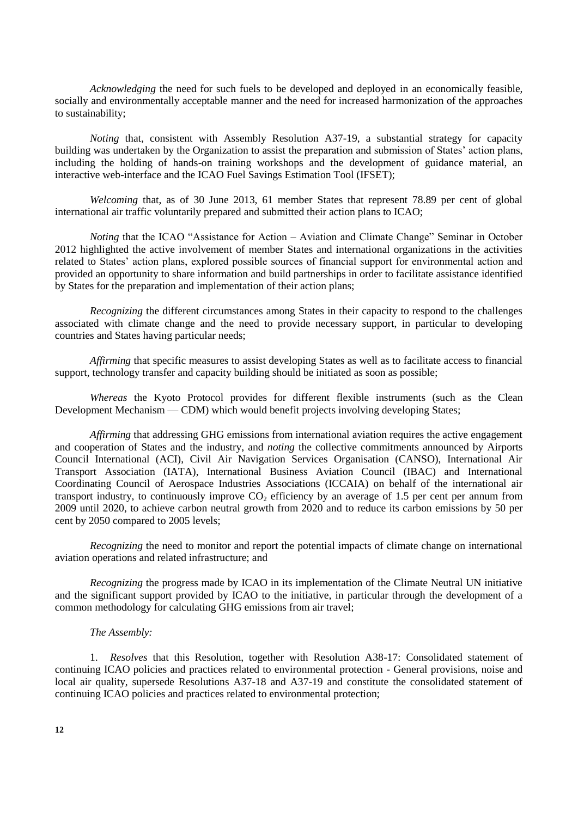*Acknowledging* the need for such fuels to be developed and deployed in an economically feasible, socially and environmentally acceptable manner and the need for increased harmonization of the approaches to sustainability;

*Noting* that, consistent with Assembly Resolution A37-19, a substantial strategy for capacity building was undertaken by the Organization to assist the preparation and submission of States' action plans, including the holding of hands-on training workshops and the development of guidance material, an interactive web-interface and the ICAO Fuel Savings Estimation Tool (IFSET);

*Welcoming* that, as of 30 June 2013, 61 member States that represent 78.89 per cent of global international air traffic voluntarily prepared and submitted their action plans to ICAO;

*Noting* that the ICAO "Assistance for Action – Aviation and Climate Change" Seminar in October 2012 highlighted the active involvement of member States and international organizations in the activities related to States' action plans, explored possible sources of financial support for environmental action and provided an opportunity to share information and build partnerships in order to facilitate assistance identified by States for the preparation and implementation of their action plans;

*Recognizing* the different circumstances among States in their capacity to respond to the challenges associated with climate change and the need to provide necessary support, in particular to developing countries and States having particular needs;

*Affirming* that specific measures to assist developing States as well as to facilitate access to financial support, technology transfer and capacity building should be initiated as soon as possible;

*Whereas* the Kyoto Protocol provides for different flexible instruments (such as the Clean Development Mechanism — CDM) which would benefit projects involving developing States;

*Affirming* that addressing GHG emissions from international aviation requires the active engagement and cooperation of States and the industry, and *noting* the collective commitments announced by Airports Council International (ACI), Civil Air Navigation Services Organisation (CANSO), International Air Transport Association (IATA), International Business Aviation Council (IBAC) and International Coordinating Council of Aerospace Industries Associations (ICCAIA) on behalf of the international air transport industry, to continuously improve  $CO<sub>2</sub>$  efficiency by an average of 1.5 per cent per annum from 2009 until 2020, to achieve carbon neutral growth from 2020 and to reduce its carbon emissions by 50 per cent by 2050 compared to 2005 levels;

*Recognizing* the need to monitor and report the potential impacts of climate change on international aviation operations and related infrastructure; and

*Recognizing* the progress made by ICAO in its implementation of the Climate Neutral UN initiative and the significant support provided by ICAO to the initiative, in particular through the development of a common methodology for calculating GHG emissions from air travel;

#### *The Assembly:*

1. *Resolves* that this Resolution, together with Resolution A38-17: Consolidated statement of continuing ICAO policies and practices related to environmental protection - General provisions, noise and local air quality, supersede Resolutions A37-18 and A37-19 and constitute the consolidated statement of continuing ICAO policies and practices related to environmental protection;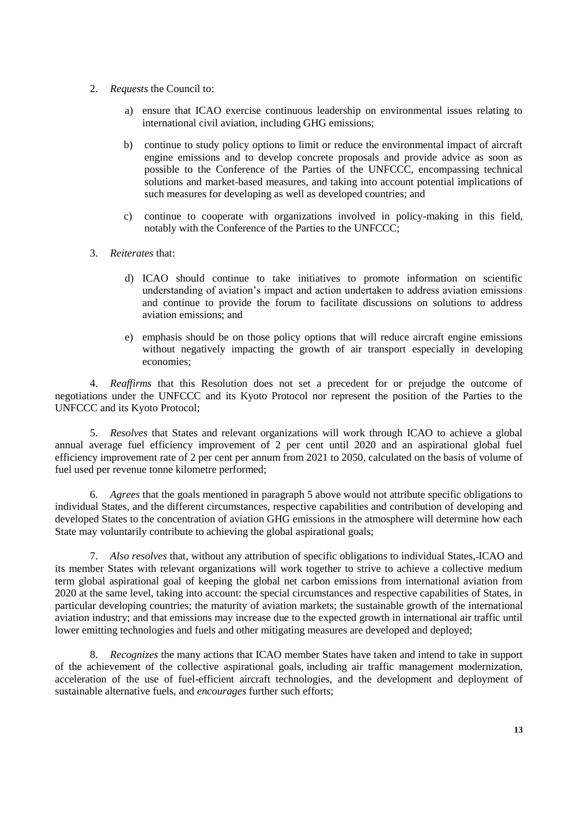- 2. *Requests* the Council to:
	- a) ensure that ICAO exercise continuous leadership on environmental issues relating to international civil aviation, including GHG emissions;
	- b) continue to study policy options to limit or reduce the environmental impact of aircraft engine emissions and to develop concrete proposals and provide advice as soon as possible to the Conference of the Parties of the UNFCCC, encompassing technical solutions and market-based measures, and taking into account potential implications of such measures for developing as well as developed countries; and
	- c) continue to cooperate with organizations involved in policy-making in this field, notably with the Conference of the Parties to the UNFCCC;
- 3. *Reiterates* that:
	- d) ICAO should continue to take initiatives to promote information on scientific understanding of aviation's impact and action undertaken to address aviation emissions and continue to provide the forum to facilitate discussions on solutions to address aviation emissions; and
	- e) emphasis should be on those policy options that will reduce aircraft engine emissions without negatively impacting the growth of air transport especially in developing economies;

4. *Reaffirms* that this Resolution does not set a precedent for or prejudge the outcome of negotiations under the UNFCCC and its Kyoto Protocol nor represent the position of the Parties to the UNFCCC and its Kyoto Protocol;

5. *Resolves* that States and relevant organizations will work through ICAO to achieve a global annual average fuel efficiency improvement of 2 per cent until 2020 and an aspirational global fuel efficiency improvement rate of 2 per cent per annum from 2021 to 2050, calculated on the basis of volume of fuel used per revenue tonne kilometre performed;

6. *Agrees* that the goals mentioned in paragraph 5 above would not attribute specific obligations to individual States, and the different circumstances, respective capabilities and contribution of developing and developed States to the concentration of aviation GHG emissions in the atmosphere will determine how each State may voluntarily contribute to achieving the global aspirational goals;

7. *Also resolves* that, without any attribution of specific obligations to individual States, ICAO and its member States with relevant organizations will work together to strive to achieve a collective medium term global aspirational goal of keeping the global net carbon emissions from international aviation from 2020 at the same level, taking into account: the special circumstances and respective capabilities of States, in particular developing countries; the maturity of aviation markets; the sustainable growth of the international aviation industry; and that emissions may increase due to the expected growth in international air traffic until lower emitting technologies and fuels and other mitigating measures are developed and deployed;

8. *Recognizes* the many actions that ICAO member States have taken and intend to take in support of the achievement of the collective aspirational goals, including air traffic management modernization, acceleration of the use of fuel-efficient aircraft technologies, and the development and deployment of sustainable alternative fuels, and *encourages* further such efforts;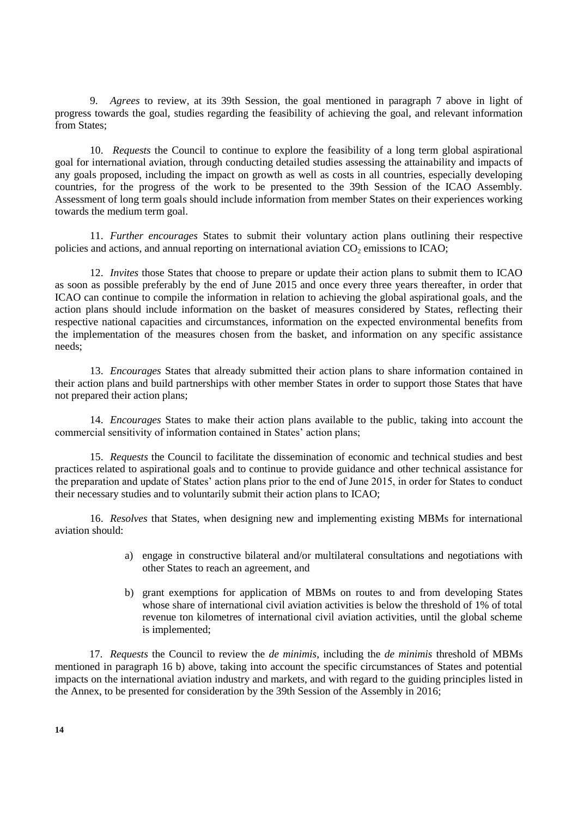9. *Agrees* to review, at its 39th Session, the goal mentioned in paragraph 7 above in light of progress towards the goal, studies regarding the feasibility of achieving the goal, and relevant information from States:

10. *Requests* the Council to continue to explore the feasibility of a long term global aspirational goal for international aviation, through conducting detailed studies assessing the attainability and impacts of any goals proposed, including the impact on growth as well as costs in all countries, especially developing countries, for the progress of the work to be presented to the 39th Session of the ICAO Assembly. Assessment of long term goals should include information from member States on their experiences working towards the medium term goal.

11. *Further encourages* States to submit their voluntary action plans outlining their respective policies and actions, and annual reporting on international aviation  $CO<sub>2</sub>$  emissions to ICAO;

12. *Invites* those States that choose to prepare or update their action plans to submit them to ICAO as soon as possible preferably by the end of June 2015 and once every three years thereafter, in order that ICAO can continue to compile the information in relation to achieving the global aspirational goals, and the action plans should include information on the basket of measures considered by States, reflecting their respective national capacities and circumstances, information on the expected environmental benefits from the implementation of the measures chosen from the basket, and information on any specific assistance needs;

13. *Encourages* States that already submitted their action plans to share information contained in their action plans and build partnerships with other member States in order to support those States that have not prepared their action plans;

14. *Encourages* States to make their action plans available to the public, taking into account the commercial sensitivity of information contained in States' action plans;

15. *Requests* the Council to facilitate the dissemination of economic and technical studies and best practices related to aspirational goals and to continue to provide guidance and other technical assistance for the preparation and update of States' action plans prior to the end of June 2015, in order for States to conduct their necessary studies and to voluntarily submit their action plans to ICAO;

16. *Resolves* that States, when designing new and implementing existing MBMs for international aviation should:

- a) engage in constructive bilateral and/or multilateral consultations and negotiations with other States to reach an agreement, and
- b) grant exemptions for application of MBMs on routes to and from developing States whose share of international civil aviation activities is below the threshold of 1% of total revenue ton kilometres of international civil aviation activities, until the global scheme is implemented;

17. *Requests* the Council to review the *de minimis*, including the *de minimis* threshold of MBMs mentioned in paragraph 16 b) above, taking into account the specific circumstances of States and potential impacts on the international aviation industry and markets, and with regard to the guiding principles listed in the Annex, to be presented for consideration by the 39th Session of the Assembly in 2016;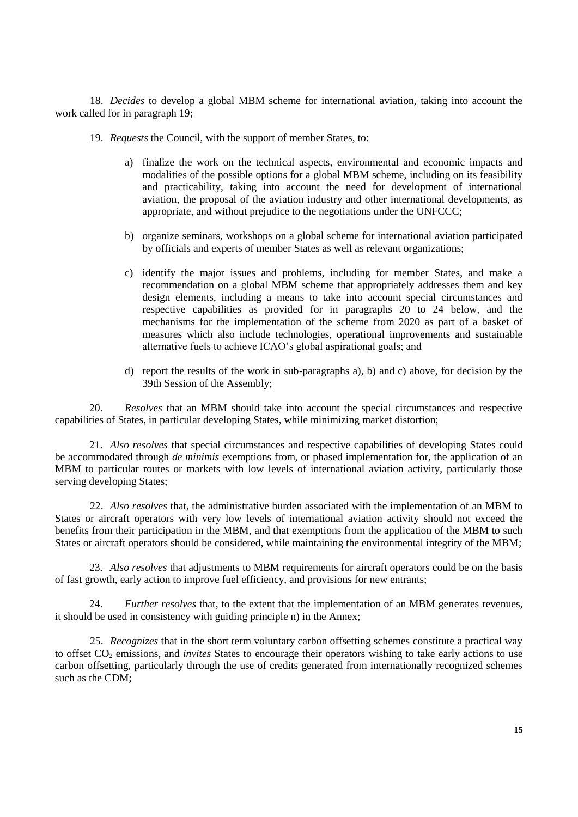18. *Decides* to develop a global MBM scheme for international aviation, taking into account the work called for in paragraph 19;

- 19. *Requests* the Council, with the support of member States, to:
	- a) finalize the work on the technical aspects, environmental and economic impacts and modalities of the possible options for a global MBM scheme, including on its feasibility and practicability, taking into account the need for development of international aviation, the proposal of the aviation industry and other international developments, as appropriate, and without prejudice to the negotiations under the UNFCCC;
	- b) organize seminars, workshops on a global scheme for international aviation participated by officials and experts of member States as well as relevant organizations;
	- c) identify the major issues and problems, including for member States, and make a recommendation on a global MBM scheme that appropriately addresses them and key design elements, including a means to take into account special circumstances and respective capabilities as provided for in paragraphs 20 to 24 below, and the mechanisms for the implementation of the scheme from 2020 as part of a basket of measures which also include technologies, operational improvements and sustainable alternative fuels to achieve ICAO's global aspirational goals; and
	- d) report the results of the work in sub-paragraphs a), b) and c) above, for decision by the 39th Session of the Assembly;

20. *Resolves* that an MBM should take into account the special circumstances and respective capabilities of States, in particular developing States, while minimizing market distortion;

21. *Also resolves* that special circumstances and respective capabilities of developing States could be accommodated through *de minimis* exemptions from, or phased implementation for, the application of an MBM to particular routes or markets with low levels of international aviation activity, particularly those serving developing States;

22. *Also resolves* that, the administrative burden associated with the implementation of an MBM to States or aircraft operators with very low levels of international aviation activity should not exceed the benefits from their participation in the MBM, and that exemptions from the application of the MBM to such States or aircraft operators should be considered, while maintaining the environmental integrity of the MBM;

23. *Also resolves* that adjustments to MBM requirements for aircraft operators could be on the basis of fast growth, early action to improve fuel efficiency, and provisions for new entrants;

24. *Further resolves* that, to the extent that the implementation of an MBM generates revenues, it should be used in consistency with guiding principle n) in the Annex;

25. *Recognizes* that in the short term voluntary carbon offsetting schemes constitute a practical way to offset CO<sup>2</sup> emissions, and *invites* States to encourage their operators wishing to take early actions to use carbon offsetting, particularly through the use of credits generated from internationally recognized schemes such as the CDM;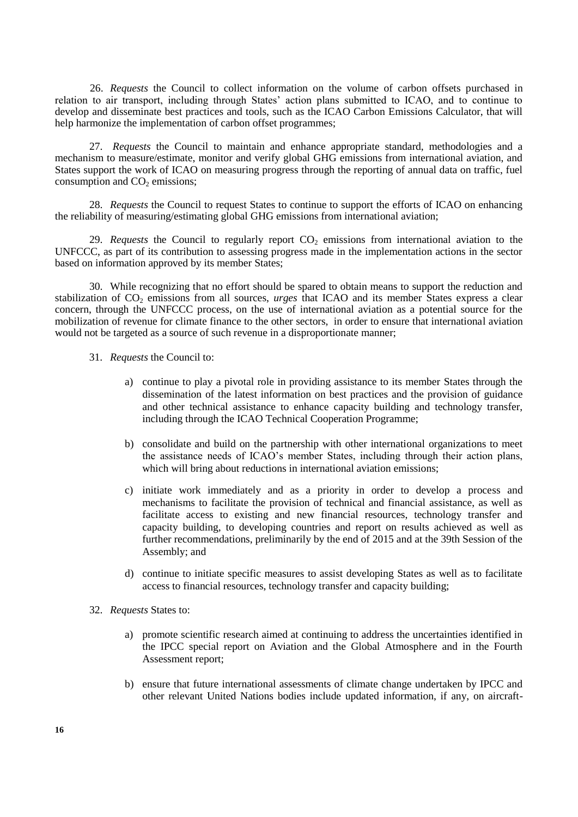26. *Requests* the Council to collect information on the volume of carbon offsets purchased in relation to air transport, including through States' action plans submitted to ICAO, and to continue to develop and disseminate best practices and tools, such as the ICAO Carbon Emissions Calculator, that will help harmonize the implementation of carbon offset programmes:

27. *Requests* the Council to maintain and enhance appropriate standard, methodologies and a mechanism to measure/estimate, monitor and verify global GHG emissions from international aviation, and States support the work of ICAO on measuring progress through the reporting of annual data on traffic, fuel consumption and  $CO<sub>2</sub>$  emissions;

28. *Requests* the Council to request States to continue to support the efforts of ICAO on enhancing the reliability of measuring/estimating global GHG emissions from international aviation;

29. *Requests* the Council to regularly report  $CO<sub>2</sub>$  emissions from international aviation to the UNFCCC, as part of its contribution to assessing progress made in the implementation actions in the sector based on information approved by its member States;

30. While recognizing that no effort should be spared to obtain means to support the reduction and stabilization of CO<sub>2</sub> emissions from all sources, *urges* that ICAO and its member States express a clear concern, through the UNFCCC process, on the use of international aviation as a potential source for the mobilization of revenue for climate finance to the other sectors, in order to ensure that international aviation would not be targeted as a source of such revenue in a disproportionate manner;

- 31. *Requests* the Council to:
	- a) continue to play a pivotal role in providing assistance to its member States through the dissemination of the latest information on best practices and the provision of guidance and other technical assistance to enhance capacity building and technology transfer, including through the ICAO Technical Cooperation Programme;
	- b) consolidate and build on the partnership with other international organizations to meet the assistance needs of ICAO's member States, including through their action plans, which will bring about reductions in international aviation emissions;
	- c) initiate work immediately and as a priority in order to develop a process and mechanisms to facilitate the provision of technical and financial assistance, as well as facilitate access to existing and new financial resources, technology transfer and capacity building, to developing countries and report on results achieved as well as further recommendations, preliminarily by the end of 2015 and at the 39th Session of the Assembly; and
	- d) continue to initiate specific measures to assist developing States as well as to facilitate access to financial resources, technology transfer and capacity building;
- 32. *Requests* States to:
	- a) promote scientific research aimed at continuing to address the uncertainties identified in the IPCC special report on Aviation and the Global Atmosphere and in the Fourth Assessment report;
	- b) ensure that future international assessments of climate change undertaken by IPCC and other relevant United Nations bodies include updated information, if any, on aircraft-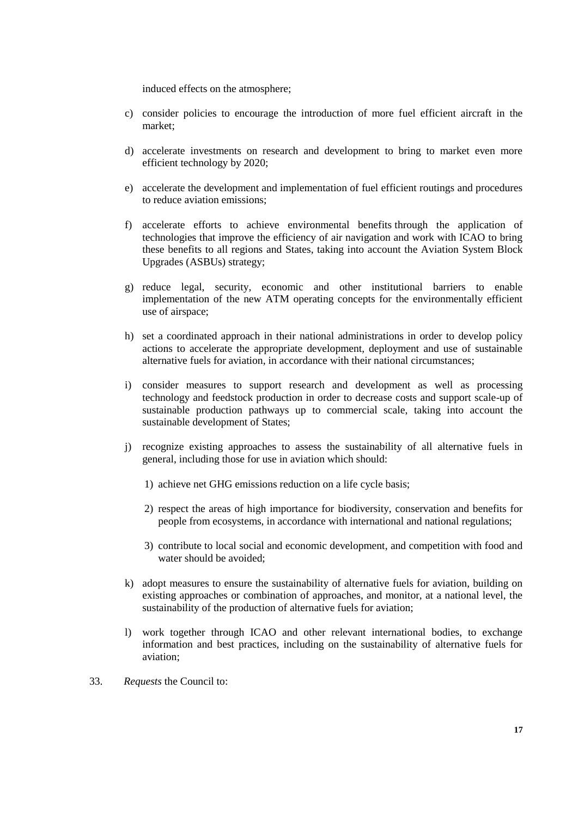induced effects on the atmosphere;

- c) consider policies to encourage the introduction of more fuel efficient aircraft in the market;
- d) accelerate investments on research and development to bring to market even more efficient technology by 2020;
- e) accelerate the development and implementation of fuel efficient routings and procedures to reduce aviation emissions;
- f) accelerate efforts to achieve environmental benefits through the application of technologies that improve the efficiency of air navigation and work with ICAO to bring these benefits to all regions and States, taking into account the Aviation System Block Upgrades (ASBUs) strategy;
- g) reduce legal, security, economic and other institutional barriers to enable implementation of the new ATM operating concepts for the environmentally efficient use of airspace;
- h) set a coordinated approach in their national administrations in order to develop policy actions to accelerate the appropriate development, deployment and use of sustainable alternative fuels for aviation, in accordance with their national circumstances;
- i) consider measures to support research and development as well as processing technology and feedstock production in order to decrease costs and support scale-up of sustainable production pathways up to commercial scale, taking into account the sustainable development of States;
- j) recognize existing approaches to assess the sustainability of all alternative fuels in general, including those for use in aviation which should:
	- 1) achieve net GHG emissions reduction on a life cycle basis;
	- 2) respect the areas of high importance for biodiversity, conservation and benefits for people from ecosystems, in accordance with international and national regulations;
	- 3) contribute to local social and economic development, and competition with food and water should be avoided;
- k) adopt measures to ensure the sustainability of alternative fuels for aviation, building on existing approaches or combination of approaches, and monitor, at a national level, the sustainability of the production of alternative fuels for aviation;
- l) work together through ICAO and other relevant international bodies, to exchange information and best practices, including on the sustainability of alternative fuels for aviation;
- 33. *Requests* the Council to: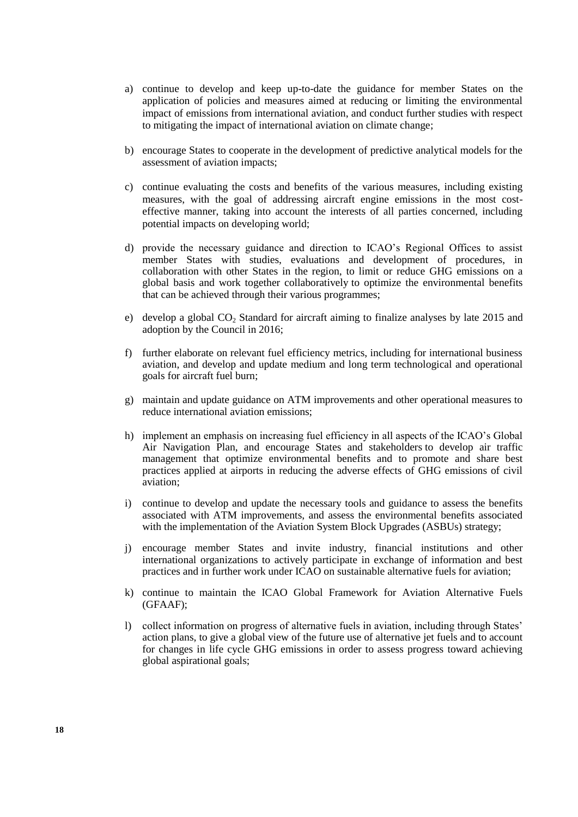- a) continue to develop and keep up-to-date the guidance for member States on the application of policies and measures aimed at reducing or limiting the environmental impact of emissions from international aviation, and conduct further studies with respect to mitigating the impact of international aviation on climate change;
- b) encourage States to cooperate in the development of predictive analytical models for the assessment of aviation impacts;
- c) continue evaluating the costs and benefits of the various measures, including existing measures, with the goal of addressing aircraft engine emissions in the most costeffective manner, taking into account the interests of all parties concerned, including potential impacts on developing world;
- d) provide the necessary guidance and direction to ICAO's Regional Offices to assist member States with studies, evaluations and development of procedures, in collaboration with other States in the region, to limit or reduce GHG emissions on a global basis and work together collaboratively to optimize the environmental benefits that can be achieved through their various programmes;
- e) develop a global CO<sub>2</sub> Standard for aircraft aiming to finalize analyses by late 2015 and adoption by the Council in 2016;
- f) further elaborate on relevant fuel efficiency metrics, including for international business aviation, and develop and update medium and long term technological and operational goals for aircraft fuel burn;
- g) maintain and update guidance on ATM improvements and other operational measures to reduce international aviation emissions;
- h) implement an emphasis on increasing fuel efficiency in all aspects of the ICAO's Global Air Navigation Plan, and encourage States and stakeholders to develop air traffic management that optimize environmental benefits and to promote and share best practices applied at airports in reducing the adverse effects of GHG emissions of civil aviation;
- i) continue to develop and update the necessary tools and guidance to assess the benefits associated with ATM improvements, and assess the environmental benefits associated with the implementation of the Aviation System Block Upgrades (ASBUs) strategy;
- j) encourage member States and invite industry, financial institutions and other international organizations to actively participate in exchange of information and best practices and in further work under ICAO on sustainable alternative fuels for aviation;
- k) continue to maintain the ICAO Global Framework for Aviation Alternative Fuels (GFAAF);
- l) collect information on progress of alternative fuels in aviation, including through States' action plans, to give a global view of the future use of alternative jet fuels and to account for changes in life cycle GHG emissions in order to assess progress toward achieving global aspirational goals;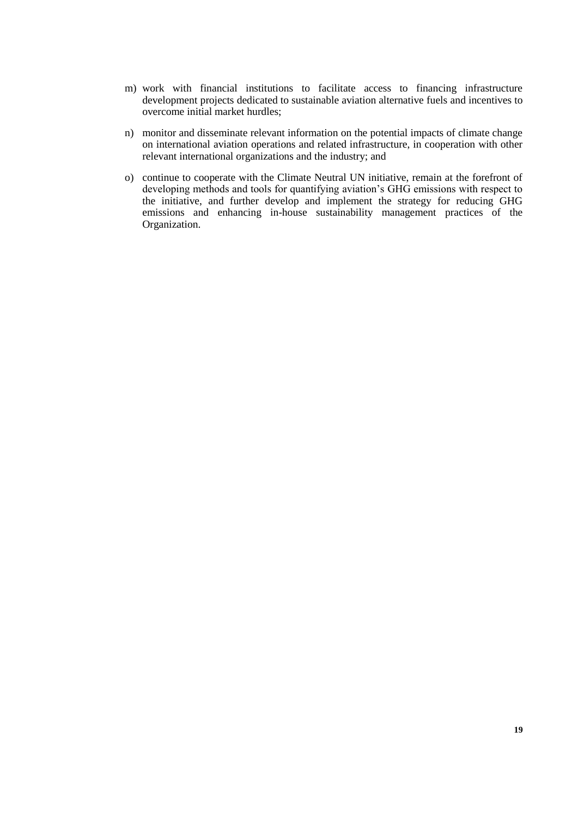- m) work with financial institutions to facilitate access to financing infrastructure development projects dedicated to sustainable aviation alternative fuels and incentives to overcome initial market hurdles;
- n) monitor and disseminate relevant information on the potential impacts of climate change on international aviation operations and related infrastructure, in cooperation with other relevant international organizations and the industry; and
- o) continue to cooperate with the Climate Neutral UN initiative, remain at the forefront of developing methods and tools for quantifying aviation's GHG emissions with respect to the initiative, and further develop and implement the strategy for reducing GHG emissions and enhancing in-house sustainability management practices of the Organization.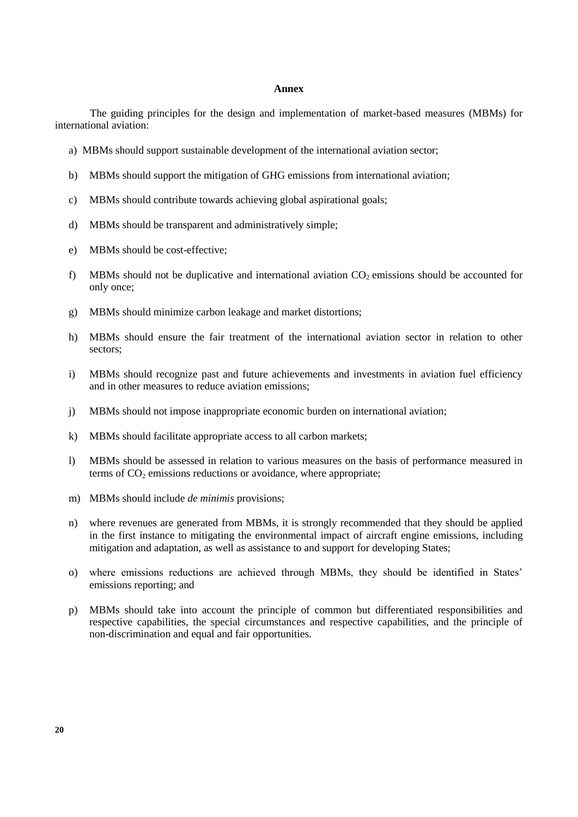#### **Annex**

The guiding principles for the design and implementation of market-based measures (MBMs) for international aviation:

- a) MBMs should support sustainable development of the international aviation sector;
- b) MBMs should support the mitigation of GHG emissions from international aviation;
- c) MBMs should contribute towards achieving global aspirational goals;
- d) MBMs should be transparent and administratively simple;
- e) MBMs should be cost-effective;
- f) MBMs should not be duplicative and international aviation  $CO<sub>2</sub>$  emissions should be accounted for only once;
- g) MBMs should minimize carbon leakage and market distortions;
- h) MBMs should ensure the fair treatment of the international aviation sector in relation to other sectors;
- i) MBMs should recognize past and future achievements and investments in aviation fuel efficiency and in other measures to reduce aviation emissions;
- j) MBMs should not impose inappropriate economic burden on international aviation;
- k) MBMs should facilitate appropriate access to all carbon markets;
- l) MBMs should be assessed in relation to various measures on the basis of performance measured in terms of  $CO<sub>2</sub>$  emissions reductions or avoidance, where appropriate:
- m) MBMs should include *de minimis* provisions;
- n) where revenues are generated from MBMs, it is strongly recommended that they should be applied in the first instance to mitigating the environmental impact of aircraft engine emissions, including mitigation and adaptation, as well as assistance to and support for developing States;
- o) where emissions reductions are achieved through MBMs, they should be identified in States' emissions reporting; and
- p) MBMs should take into account the principle of common but differentiated responsibilities and respective capabilities, the special circumstances and respective capabilities, and the principle of non-discrimination and equal and fair opportunities.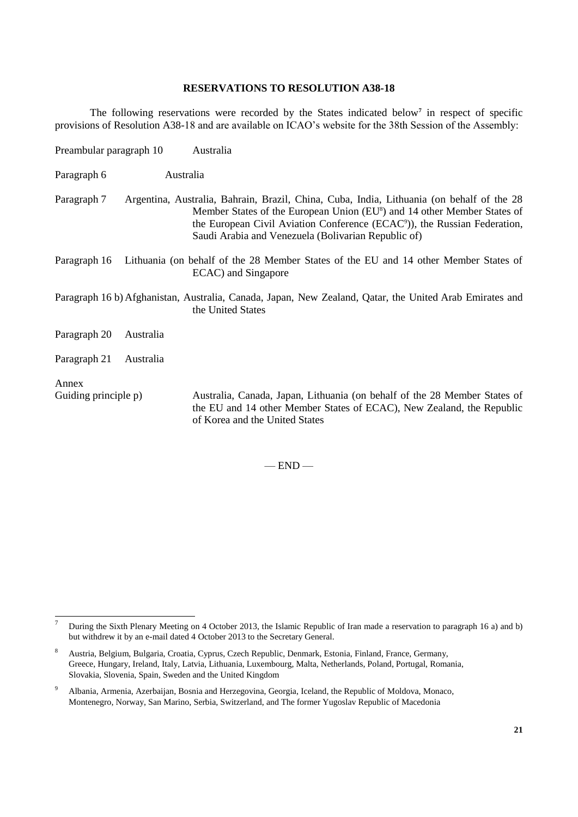#### **RESERVATIONS TO RESOLUTION A38-18**

The following reservations were recorded by the States indicated below**<sup>7</sup>** in respect of specific provisions of Resolution A38-18 and are available on ICAO's website for the 38th Session of the Assembly:

| Preambular paragraph 10 |           | Australia                                                                                                                                                                                                                                                                                                                         |
|-------------------------|-----------|-----------------------------------------------------------------------------------------------------------------------------------------------------------------------------------------------------------------------------------------------------------------------------------------------------------------------------------|
| Paragraph 6             | Australia |                                                                                                                                                                                                                                                                                                                                   |
| Paragraph 7             |           | Argentina, Australia, Bahrain, Brazil, China, Cuba, India, Lithuania (on behalf of the 28<br>Member States of the European Union (EU <sup>8</sup> ) and 14 other Member States of<br>the European Civil Aviation Conference (ECAC <sup>o</sup> )), the Russian Federation,<br>Saudi Arabia and Venezuela (Bolivarian Republic of) |
| Paragraph 16            |           | Lithuania (on behalf of the 28 Member States of the EU and 14 other Member States of<br>ECAC) and Singapore                                                                                                                                                                                                                       |
|                         |           | Paragraph 16 b) Afghanistan, Australia, Canada, Japan, New Zealand, Qatar, the United Arab Emirates and<br>the United States                                                                                                                                                                                                      |
| Paragraph 20            | Australia |                                                                                                                                                                                                                                                                                                                                   |
| Paragraph 21            | Australia |                                                                                                                                                                                                                                                                                                                                   |
| Annex                   |           |                                                                                                                                                                                                                                                                                                                                   |
| Guiding principle p)    |           | Australia, Canada, Japan, Lithuania (on behalf of the 28 Member States of<br>the EU and 14 other Member States of ECAC), New Zealand, the Republic<br>of Korea and the United States                                                                                                                                              |

 $-$  END  $-$ 

 $\overline{7}$ <sup>7</sup> During the Sixth Plenary Meeting on 4 October 2013, the Islamic Republic of Iran made a reservation to paragraph 16 a) and b) but withdrew it by an e-mail dated 4 October 2013 to the Secretary General.

<sup>8</sup> Austria, Belgium, Bulgaria, Croatia, Cyprus, Czech Republic, Denmark, Estonia, Finland, France, Germany, Greece, Hungary, Ireland, Italy, Latvia, Lithuania, Luxembourg, Malta, Netherlands, Poland, Portugal, Romania, Slovakia, Slovenia, Spain, Sweden and the United Kingdom

<sup>9</sup> Albania, Armenia, Azerbaijan, Bosnia and Herzegovina, Georgia, Iceland, the Republic of Moldova, Monaco, Montenegro, Norway, San Marino, Serbia, Switzerland, and The former Yugoslav Republic of Macedonia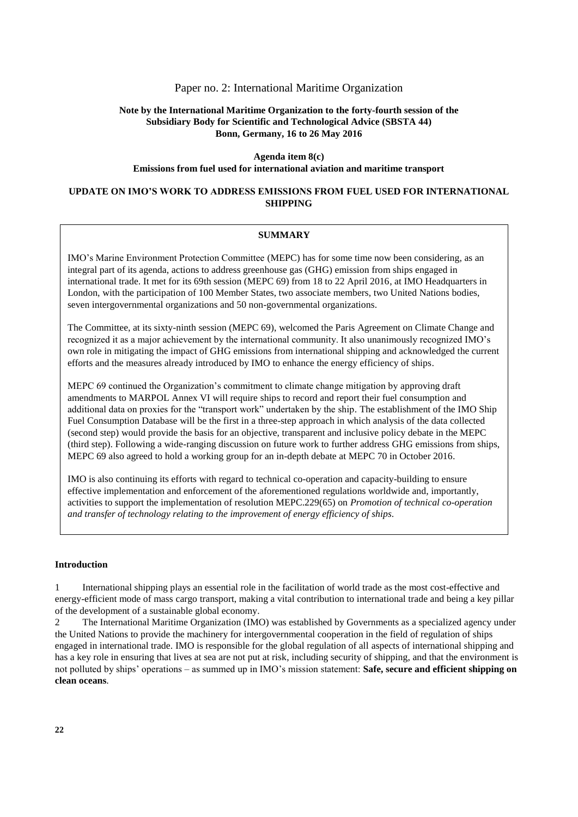#### Paper no. 2: International Maritime Organization

# **Note by the International Maritime Organization to the forty-fourth session of the Subsidiary Body for Scientific and Technological Advice (SBSTA 44) Bonn, Germany, 16 to 26 May 2016**

**Agenda item 8(c) Emissions from fuel used for international aviation and maritime transport**

### **UPDATE ON IMO'S WORK TO ADDRESS EMISSIONS FROM FUEL USED FOR INTERNATIONAL SHIPPING**

#### **SUMMARY**

IMO's Marine Environment Protection Committee (MEPC) has for some time now been considering, as an integral part of its agenda, actions to address greenhouse gas (GHG) emission from ships engaged in international trade. It met for its 69th session (MEPC 69) from 18 to 22 April 2016, at IMO Headquarters in London, with the participation of 100 Member States, two associate members, two United Nations bodies, seven intergovernmental organizations and 50 non-governmental organizations.

The Committee, at its sixty-ninth session (MEPC 69), welcomed the Paris Agreement on Climate Change and recognized it as a major achievement by the international community. It also unanimously recognized IMO's own role in mitigating the impact of GHG emissions from international shipping and acknowledged the current efforts and the measures already introduced by IMO to enhance the energy efficiency of ships.

MEPC 69 continued the Organization's commitment to climate change mitigation by approving draft amendments to MARPOL Annex VI will require ships to record and report their fuel consumption and additional data on proxies for the "transport work" undertaken by the ship. The establishment of the IMO Ship Fuel Consumption Database will be the first in a three-step approach in which analysis of the data collected (second step) would provide the basis for an objective, transparent and inclusive policy debate in the MEPC (third step). Following a wide-ranging discussion on future work to further address GHG emissions from ships, MEPC 69 also agreed to hold a working group for an in-depth debate at MEPC 70 in October 2016.

IMO is also continuing its efforts with regard to technical co-operation and capacity-building to ensure effective implementation and enforcement of the aforementioned regulations worldwide and, importantly, activities to support the implementation of resolution MEPC.229(65) on *Promotion of technical co-operation and transfer of technology relating to the improvement of energy efficiency of ships*.

#### **Introduction**

1 International shipping plays an essential role in the facilitation of world trade as the most cost-effective and energy-efficient mode of mass cargo transport, making a vital contribution to international trade and being a key pillar of the development of a sustainable global economy.

2 The International Maritime Organization (IMO) was established by Governments as a specialized agency under the United Nations to provide the machinery for intergovernmental cooperation in the field of regulation of ships engaged in international trade. IMO is responsible for the global regulation of all aspects of international shipping and has a key role in ensuring that lives at sea are not put at risk, including security of shipping, and that the environment is not polluted by ships' operations – as summed up in IMO's mission statement: **Safe, secure and efficient shipping on clean oceans**.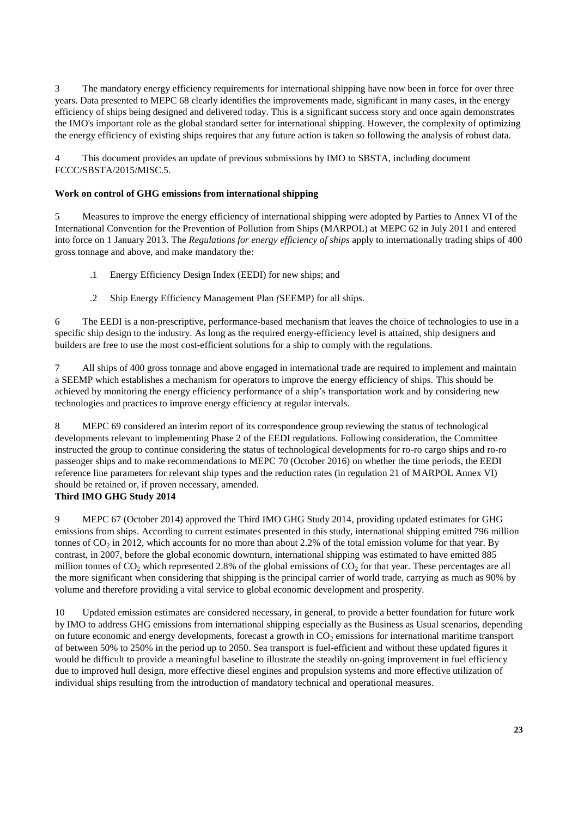3 The mandatory energy efficiency requirements for international shipping have now been in force for over three years. Data presented to MEPC 68 clearly identifies the improvements made, significant in many cases, in the energy efficiency of ships being designed and delivered today. This is a significant success story and once again demonstrates the IMO's important role as the global standard setter for international shipping. However, the complexity of optimizing the energy efficiency of existing ships requires that any future action is taken so following the analysis of robust data.

4 This document provides an update of previous submissions by IMO to SBSTA, including document FCCC/SBSTA/2015/MISC.5.

# **Work on control of GHG emissions from international shipping**

5 Measures to improve the energy efficiency of international shipping were adopted by Parties to Annex VI of the International Convention for the Prevention of Pollution from Ships (MARPOL) at MEPC 62 in July 2011 and entered into force on 1 January 2013. The *Regulations for energy efficiency of ships* apply to internationally trading ships of 400 gross tonnage and above, and make mandatory the:

- .1 Energy Efficiency Design Index (EEDI) for new ships; and
- .2 Ship Energy Efficiency Management Plan *(*SEEMP) for all ships.

6 The EEDI is a non-prescriptive, performance-based mechanism that leaves the choice of technologies to use in a specific ship design to the industry. As long as the required energy-efficiency level is attained, ship designers and builders are free to use the most cost-efficient solutions for a ship to comply with the regulations.

7 All ships of 400 gross tonnage and above engaged in international trade are required to implement and maintain a SEEMP which establishes a mechanism for operators to improve the energy efficiency of ships. This should be achieved by monitoring the energy efficiency performance of a ship's transportation work and by considering new technologies and practices to improve energy efficiency at regular intervals.

8 MEPC 69 considered an interim report of its correspondence group reviewing the status of technological developments relevant to implementing Phase 2 of the EEDI regulations. Following consideration, the Committee instructed the group to continue considering the status of technological developments for ro-ro cargo ships and ro-ro passenger ships and to make recommendations to MEPC 70 (October 2016) on whether the time periods, the EEDI reference line parameters for relevant ship types and the reduction rates (in regulation 21 of MARPOL Annex VI) should be retained or, if proven necessary, amended.

# **Third IMO GHG Study 2014**

9 MEPC 67 (October 2014) approved the Third IMO GHG Study 2014, providing updated estimates for GHG emissions from ships. According to current estimates presented in this study, international shipping emitted 796 million tonnes of  $CO<sub>2</sub>$  in 2012, which accounts for no more than about 2.2% of the total emission volume for that year. By contrast, in 2007, before the global economic downturn, international shipping was estimated to have emitted 885 million tonnes of  $CO_2$  which represented 2.8% of the global emissions of  $CO_2$  for that year. These percentages are all the more significant when considering that shipping is the principal carrier of world trade, carrying as much as 90% by volume and therefore providing a vital service to global economic development and prosperity.

10 Updated emission estimates are considered necessary, in general, to provide a better foundation for future work by IMO to address GHG emissions from international shipping especially as the Business as Usual scenarios, depending on future economic and energy developments, forecast a growth in  $CO<sub>2</sub>$  emissions for international maritime transport of between 50% to 250% in the period up to 2050. Sea transport is fuel-efficient and without these updated figures it would be difficult to provide a meaningful baseline to illustrate the steadily on-going improvement in fuel efficiency due to improved hull design, more effective diesel engines and propulsion systems and more effective utilization of individual ships resulting from the introduction of mandatory technical and operational measures.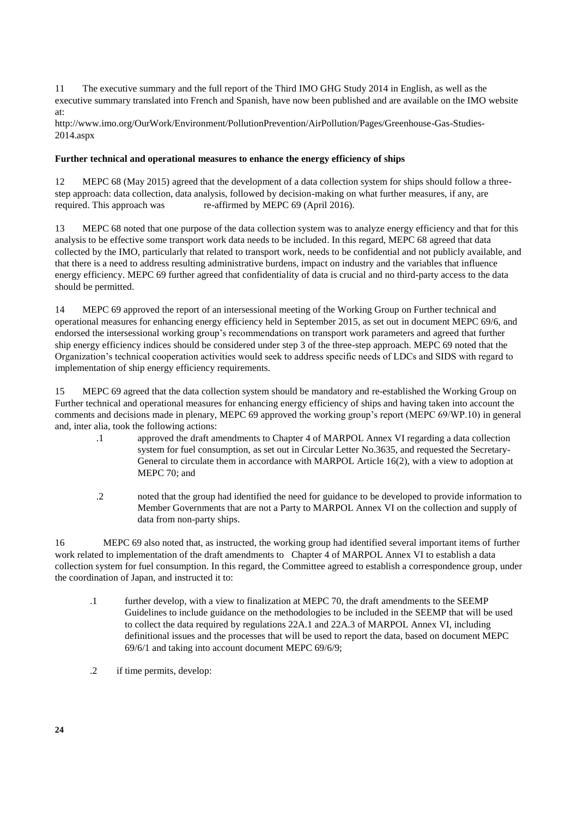11 The executive summary and the full report of the Third IMO GHG Study 2014 in English, as well as the executive summary translated into French and Spanish, have now been published and are available on the IMO website at:

http://www.imo.org/OurWork/Environment/PollutionPrevention/AirPollution/Pages/Greenhouse-Gas-Studies-2014.aspx

# **Further technical and operational measures to enhance the energy efficiency of ships**

12 MEPC 68 (May 2015) agreed that the development of a data collection system for ships should follow a threestep approach: data collection, data analysis, followed by decision-making on what further measures, if any, are required. This approach was re-affirmed by MEPC 69 (April 2016).

13 MEPC 68 noted that one purpose of the data collection system was to analyze energy efficiency and that for this analysis to be effective some transport work data needs to be included. In this regard, MEPC 68 agreed that data collected by the IMO, particularly that related to transport work, needs to be confidential and not publicly available, and that there is a need to address resulting administrative burdens, impact on industry and the variables that influence energy efficiency. MEPC 69 further agreed that confidentiality of data is crucial and no third-party access to the data should be permitted.

14 MEPC 69 approved the report of an intersessional meeting of the Working Group on Further technical and operational measures for enhancing energy efficiency held in September 2015, as set out in document MEPC 69/6, and endorsed the intersessional working group's recommendations on transport work parameters and agreed that further ship energy efficiency indices should be considered under step 3 of the three-step approach. MEPC 69 noted that the Organization's technical cooperation activities would seek to address specific needs of LDCs and SIDS with regard to implementation of ship energy efficiency requirements.

15 MEPC 69 agreed that the data collection system should be mandatory and re-established the Working Group on Further technical and operational measures for enhancing energy efficiency of ships and having taken into account the comments and decisions made in plenary, MEPC 69 approved the working group's report (MEPC 69/WP.10) in general and, inter alia, took the following actions:

- .1 approved the draft amendments to Chapter 4 of MARPOL Annex VI regarding a data collection system for fuel consumption, as set out in Circular Letter No.3635, and requested the Secretary-General to circulate them in accordance with MARPOL Article 16(2), with a view to adoption at MEPC 70; and
- .2 noted that the group had identified the need for guidance to be developed to provide information to Member Governments that are not a Party to MARPOL Annex VI on the collection and supply of data from non-party ships.

16 MEPC 69 also noted that, as instructed, the working group had identified several important items of further work related to implementation of the draft amendments to Chapter 4 of MARPOL Annex VI to establish a data collection system for fuel consumption. In this regard, the Committee agreed to establish a correspondence group, under the coordination of Japan, and instructed it to:

- .1 further develop, with a view to finalization at MEPC 70, the draft amendments to the SEEMP Guidelines to include guidance on the methodologies to be included in the SEEMP that will be used to collect the data required by regulations 22A.1 and 22A.3 of MARPOL Annex VI, including definitional issues and the processes that will be used to report the data, based on document MEPC 69/6/1 and taking into account document MEPC 69/6/9;
- .2 if time permits, develop: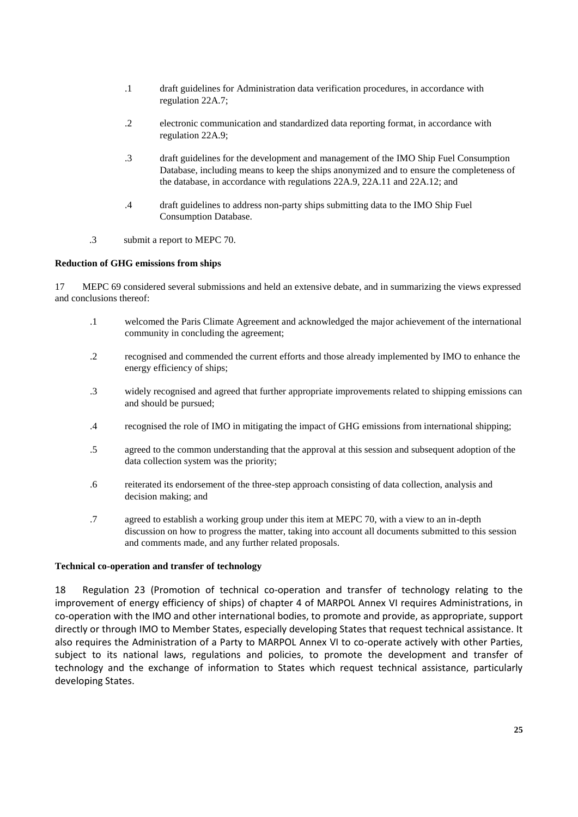- .1 draft guidelines for Administration data verification procedures, in accordance with regulation 22A.7;
- .2 electronic communication and standardized data reporting format, in accordance with regulation 22A.9;
- .3 draft guidelines for the development and management of the IMO Ship Fuel Consumption Database, including means to keep the ships anonymized and to ensure the completeness of the database, in accordance with regulations 22A.9, 22A.11 and 22A.12; and
- .4 draft guidelines to address non-party ships submitting data to the IMO Ship Fuel Consumption Database.
- .3 submit a report to MEPC 70.

#### **Reduction of GHG emissions from ships**

17 MEPC 69 considered several submissions and held an extensive debate, and in summarizing the views expressed and conclusions thereof:

- .1 welcomed the Paris Climate Agreement and acknowledged the major achievement of the international community in concluding the agreement;
- .2 recognised and commended the current efforts and those already implemented by IMO to enhance the energy efficiency of ships;
- .3 widely recognised and agreed that further appropriate improvements related to shipping emissions can and should be pursued;
- .4 recognised the role of IMO in mitigating the impact of GHG emissions from international shipping;
- .5 agreed to the common understanding that the approval at this session and subsequent adoption of the data collection system was the priority;
- .6 reiterated its endorsement of the three-step approach consisting of data collection, analysis and decision making; and
- .7 agreed to establish a working group under this item at MEPC 70, with a view to an in-depth discussion on how to progress the matter, taking into account all documents submitted to this session and comments made, and any further related proposals.

#### **Technical co-operation and transfer of technology**

18 Regulation 23 (Promotion of technical co-operation and transfer of technology relating to the improvement of energy efficiency of ships) of chapter 4 of MARPOL Annex VI requires Administrations, in co-operation with the IMO and other international bodies, to promote and provide, as appropriate, support directly or through IMO to Member States, especially developing States that request technical assistance. It also requires the Administration of a Party to MARPOL Annex VI to co-operate actively with other Parties, subject to its national laws, regulations and policies, to promote the development and transfer of technology and the exchange of information to States which request technical assistance, particularly developing States.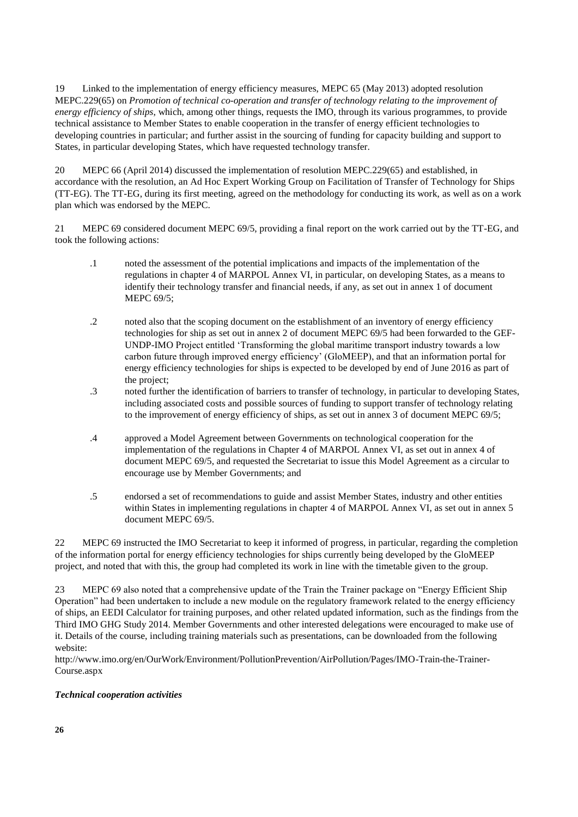19 Linked to the implementation of energy efficiency measures, MEPC 65 (May 2013) adopted resolution MEPC.229(65) on *Promotion of technical co-operation and transfer of technology relating to the improvement of energy efficiency of ships*, which, among other things, requests the IMO, through its various programmes, to provide technical assistance to Member States to enable cooperation in the transfer of energy efficient technologies to developing countries in particular; and further assist in the sourcing of funding for capacity building and support to States, in particular developing States, which have requested technology transfer.

20 MEPC 66 (April 2014) discussed the implementation of resolution MEPC.229(65) and established, in accordance with the resolution, an Ad Hoc Expert Working Group on Facilitation of Transfer of Technology for Ships (TT-EG). The TT-EG, during its first meeting, agreed on the methodology for conducting its work, as well as on a work plan which was endorsed by the MEPC.

21 MEPC 69 considered document MEPC 69/5, providing a final report on the work carried out by the TT-EG, and took the following actions:

- .1 noted the assessment of the potential implications and impacts of the implementation of the regulations in chapter 4 of MARPOL Annex VI, in particular, on developing States, as a means to identify their technology transfer and financial needs, if any, as set out in annex 1 of document MEPC 69/5;
- .2 noted also that the scoping document on the establishment of an inventory of energy efficiency technologies for ship as set out in annex 2 of document MEPC 69/5 had been forwarded to the GEF-UNDP-IMO Project entitled 'Transforming the global maritime transport industry towards a low carbon future through improved energy efficiency' (GloMEEP), and that an information portal for energy efficiency technologies for ships is expected to be developed by end of June 2016 as part of the project;
- .3 noted further the identification of barriers to transfer of technology, in particular to developing States, including associated costs and possible sources of funding to support transfer of technology relating to the improvement of energy efficiency of ships, as set out in annex 3 of document MEPC 69/5;
- .4 approved a Model Agreement between Governments on technological cooperation for the implementation of the regulations in Chapter 4 of MARPOL Annex VI, as set out in annex 4 of document MEPC 69/5, and requested the Secretariat to issue this Model Agreement as a circular to encourage use by Member Governments; and
- .5 endorsed a set of recommendations to guide and assist Member States, industry and other entities within States in implementing regulations in chapter 4 of MARPOL Annex VI, as set out in annex 5 document MEPC 69/5.

22 MEPC 69 instructed the IMO Secretariat to keep it informed of progress, in particular, regarding the completion of the information portal for energy efficiency technologies for ships currently being developed by the GloMEEP project, and noted that with this, the group had completed its work in line with the timetable given to the group.

23 MEPC 69 also noted that a comprehensive update of the Train the Trainer package on "Energy Efficient Ship Operation" had been undertaken to include a new module on the regulatory framework related to the energy efficiency of ships, an EEDI Calculator for training purposes, and other related updated information, such as the findings from the Third IMO GHG Study 2014. Member Governments and other interested delegations were encouraged to make use of it. Details of the course, including training materials such as presentations, can be downloaded from the following website:

http://www.imo.org/en/OurWork/Environment/PollutionPrevention/AirPollution/Pages/IMO-Train-the-Trainer-Course.aspx

# *Technical cooperation activities*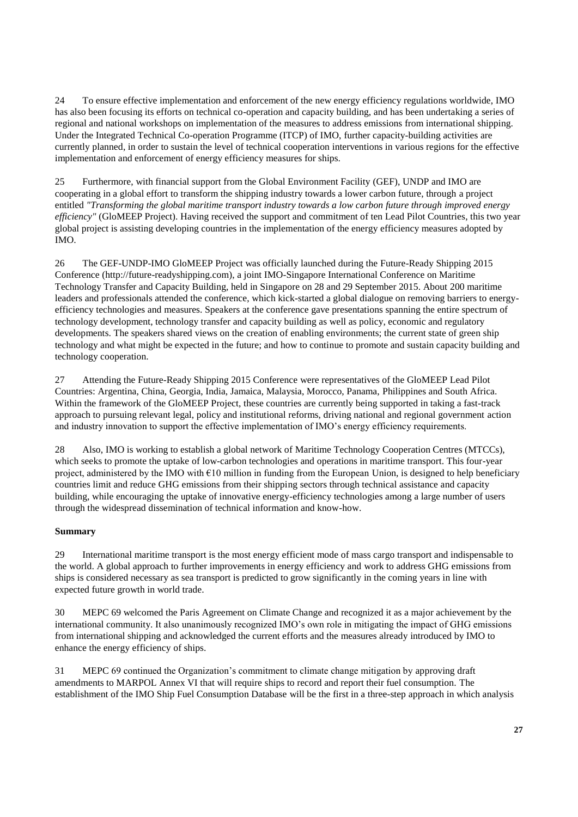24 To ensure effective implementation and enforcement of the new energy efficiency regulations worldwide, IMO has also been focusing its efforts on technical co-operation and capacity building, and has been undertaking a series of regional and national workshops on implementation of the measures to address emissions from international shipping. Under the Integrated Technical Co-operation Programme (ITCP) of IMO, further capacity-building activities are currently planned, in order to sustain the level of technical cooperation interventions in various regions for the effective implementation and enforcement of energy efficiency measures for ships.

25 Furthermore, with financial support from the Global Environment Facility (GEF), UNDP and IMO are cooperating in a global effort to transform the shipping industry towards a lower carbon future, through a project entitled *"Transforming the global maritime transport industry towards a low carbon future through improved energy efficiency"* (GloMEEP Project). Having received the support and commitment of ten Lead Pilot Countries, this two year global project is assisting developing countries in the implementation of the energy efficiency measures adopted by IMO.

26 The GEF-UNDP-IMO GloMEEP Project was officially launched during the Future-Ready Shipping 2015 Conference (http://future-readyshipping.com), a joint IMO-Singapore International Conference on Maritime Technology Transfer and Capacity Building, held in Singapore on 28 and 29 September 2015. About 200 maritime leaders and professionals attended the conference, which kick-started a global dialogue on removing barriers to energyefficiency technologies and measures. Speakers at the conference gave presentations spanning the entire spectrum of technology development, technology transfer and capacity building as well as policy, economic and regulatory developments. The speakers shared views on the creation of enabling environments; the current state of green ship technology and what might be expected in the future; and how to continue to promote and sustain capacity building and technology cooperation.

27 Attending the Future-Ready Shipping 2015 Conference were representatives of the GloMEEP Lead Pilot Countries: Argentina, China, Georgia, India, Jamaica, Malaysia, Morocco, Panama, Philippines and South Africa. Within the framework of the GloMEEP Project, these countries are currently being supported in taking a fast-track approach to pursuing relevant legal, policy and institutional reforms, driving national and regional government action and industry innovation to support the effective implementation of IMO's energy efficiency requirements.

28 Also, IMO is working to establish a global network of Maritime Technology Cooperation Centres (MTCCs), which seeks to promote the uptake of low-carbon technologies and operations in maritime transport. This four-year project, administered by the IMO with  $\epsilon$ 10 million in funding from the European Union, is designed to help beneficiary countries limit and reduce GHG emissions from their shipping sectors through technical assistance and capacity building, while encouraging the uptake of innovative energy-efficiency technologies among a large number of users through the widespread dissemination of technical information and know-how.

# **Summary**

29 International maritime transport is the most energy efficient mode of mass cargo transport and indispensable to the world. A global approach to further improvements in energy efficiency and work to address GHG emissions from ships is considered necessary as sea transport is predicted to grow significantly in the coming years in line with expected future growth in world trade.

30 MEPC 69 welcomed the Paris Agreement on Climate Change and recognized it as a major achievement by the international community. It also unanimously recognized IMO's own role in mitigating the impact of GHG emissions from international shipping and acknowledged the current efforts and the measures already introduced by IMO to enhance the energy efficiency of ships.

31 MEPC 69 continued the Organization's commitment to climate change mitigation by approving draft amendments to MARPOL Annex VI that will require ships to record and report their fuel consumption. The establishment of the IMO Ship Fuel Consumption Database will be the first in a three-step approach in which analysis